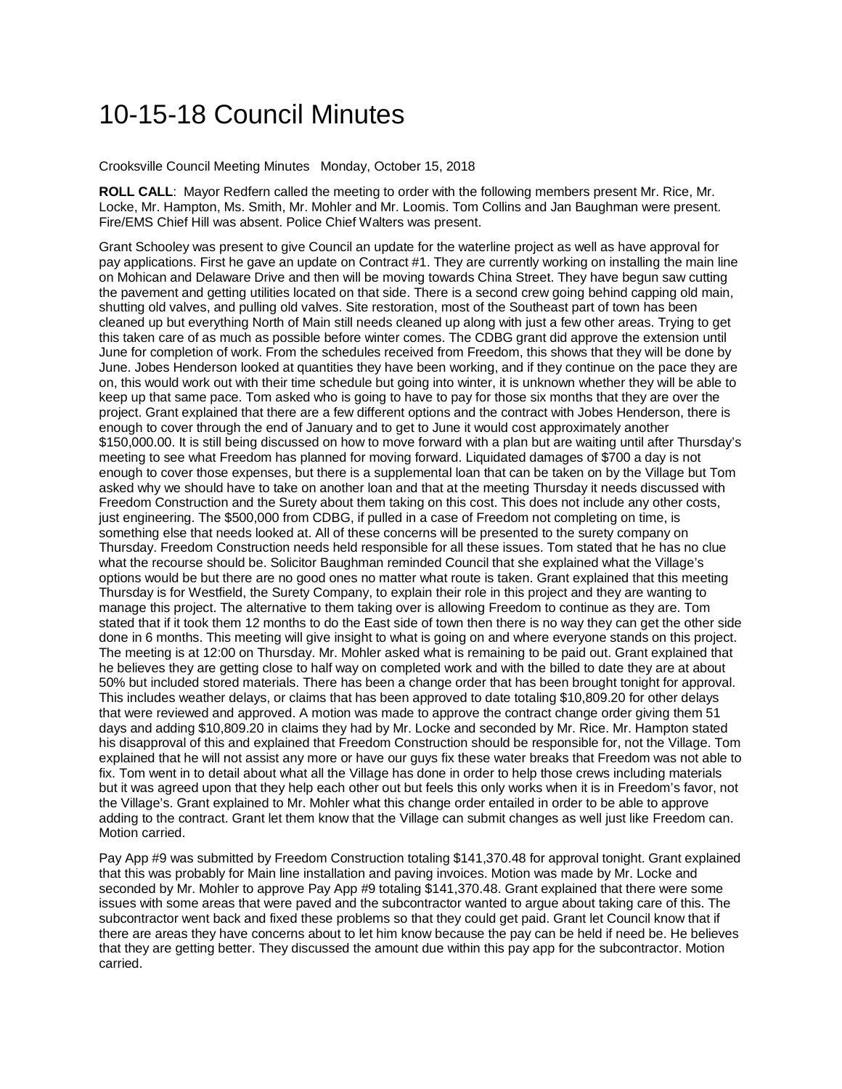## 10-15-18 Council Minutes

Crooksville Council Meeting Minutes Monday, October 15, 2018

**ROLL CALL**: Mayor Redfern called the meeting to order with the following members present Mr. Rice, Mr. Locke, Mr. Hampton, Ms. Smith, Mr. Mohler and Mr. Loomis. Tom Collins and Jan Baughman were present. Fire/EMS Chief Hill was absent. Police Chief Walters was present.

Grant Schooley was present to give Council an update for the waterline project as well as have approval for pay applications. First he gave an update on Contract #1. They are currently working on installing the main line on Mohican and Delaware Drive and then will be moving towards China Street. They have begun saw cutting the pavement and getting utilities located on that side. There is a second crew going behind capping old main, shutting old valves, and pulling old valves. Site restoration, most of the Southeast part of town has been cleaned up but everything North of Main still needs cleaned up along with just a few other areas. Trying to get this taken care of as much as possible before winter comes. The CDBG grant did approve the extension until June for completion of work. From the schedules received from Freedom, this shows that they will be done by June. Jobes Henderson looked at quantities they have been working, and if they continue on the pace they are on, this would work out with their time schedule but going into winter, it is unknown whether they will be able to keep up that same pace. Tom asked who is going to have to pay for those six months that they are over the project. Grant explained that there are a few different options and the contract with Jobes Henderson, there is enough to cover through the end of January and to get to June it would cost approximately another \$150,000.00. It is still being discussed on how to move forward with a plan but are waiting until after Thursday's meeting to see what Freedom has planned for moving forward. Liquidated damages of \$700 a day is not enough to cover those expenses, but there is a supplemental loan that can be taken on by the Village but Tom asked why we should have to take on another loan and that at the meeting Thursday it needs discussed with Freedom Construction and the Surety about them taking on this cost. This does not include any other costs, just engineering. The \$500,000 from CDBG, if pulled in a case of Freedom not completing on time, is something else that needs looked at. All of these concerns will be presented to the surety company on Thursday. Freedom Construction needs held responsible for all these issues. Tom stated that he has no clue what the recourse should be. Solicitor Baughman reminded Council that she explained what the Village's options would be but there are no good ones no matter what route is taken. Grant explained that this meeting Thursday is for Westfield, the Surety Company, to explain their role in this project and they are wanting to manage this project. The alternative to them taking over is allowing Freedom to continue as they are. Tom stated that if it took them 12 months to do the East side of town then there is no way they can get the other side done in 6 months. This meeting will give insight to what is going on and where everyone stands on this project. The meeting is at 12:00 on Thursday. Mr. Mohler asked what is remaining to be paid out. Grant explained that he believes they are getting close to half way on completed work and with the billed to date they are at about 50% but included stored materials. There has been a change order that has been brought tonight for approval. This includes weather delays, or claims that has been approved to date totaling \$10,809.20 for other delays that were reviewed and approved. A motion was made to approve the contract change order giving them 51 days and adding \$10,809.20 in claims they had by Mr. Locke and seconded by Mr. Rice. Mr. Hampton stated his disapproval of this and explained that Freedom Construction should be responsible for, not the Village. Tom explained that he will not assist any more or have our guys fix these water breaks that Freedom was not able to fix. Tom went in to detail about what all the Village has done in order to help those crews including materials but it was agreed upon that they help each other out but feels this only works when it is in Freedom's favor, not the Village's. Grant explained to Mr. Mohler what this change order entailed in order to be able to approve adding to the contract. Grant let them know that the Village can submit changes as well just like Freedom can. Motion carried.

Pay App #9 was submitted by Freedom Construction totaling \$141,370.48 for approval tonight. Grant explained that this was probably for Main line installation and paving invoices. Motion was made by Mr. Locke and seconded by Mr. Mohler to approve Pay App #9 totaling \$141,370.48. Grant explained that there were some issues with some areas that were paved and the subcontractor wanted to argue about taking care of this. The subcontractor went back and fixed these problems so that they could get paid. Grant let Council know that if there are areas they have concerns about to let him know because the pay can be held if need be. He believes that they are getting better. They discussed the amount due within this pay app for the subcontractor. Motion carried.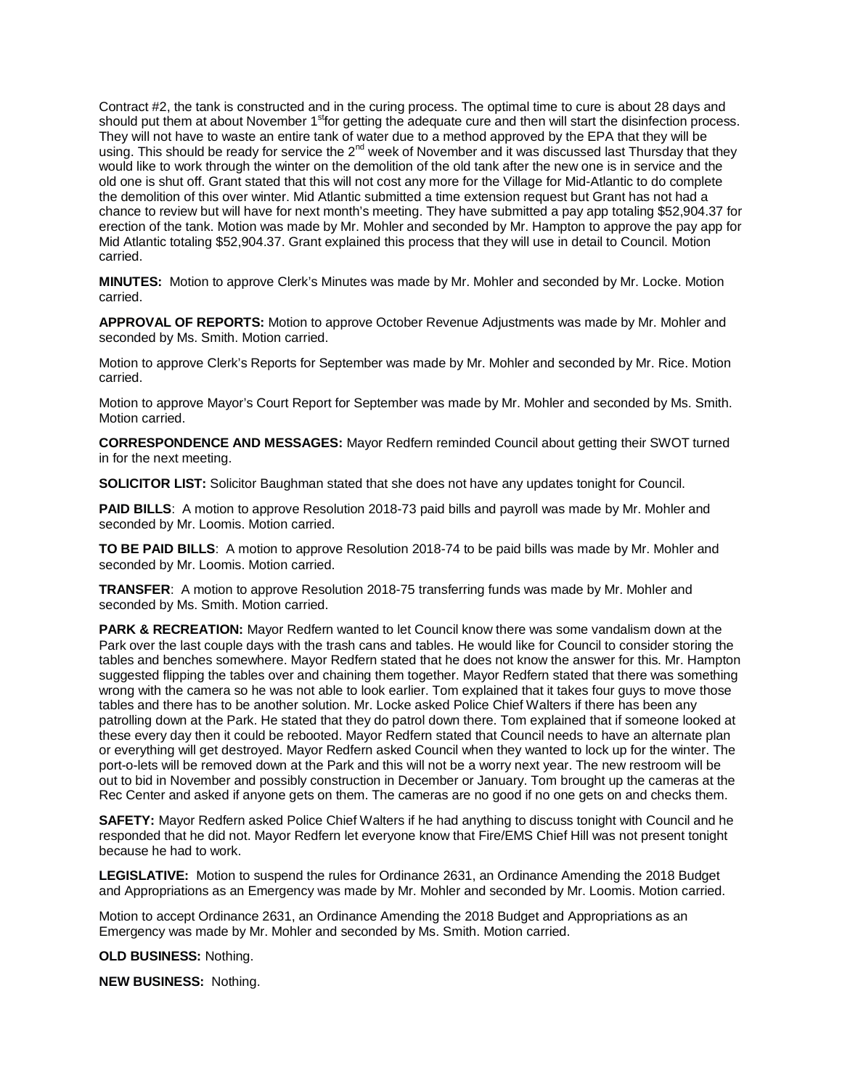Contract #2, the tank is constructed and in the curing process. The optimal time to cure is about 28 days and should put them at about November 1<sup>st</sup>for getting the adequate cure and then will start the disinfection process. They will not have to waste an entire tank of water due to a method approved by the EPA that they will be using. This should be ready for service the 2<sup>nd</sup> week of November and it was discussed last Thursday that they would like to work through the winter on the demolition of the old tank after the new one is in service and the old one is shut off. Grant stated that this will not cost any more for the Village for Mid-Atlantic to do complete the demolition of this over winter. Mid Atlantic submitted a time extension request but Grant has not had a chance to review but will have for next month's meeting. They have submitted a pay app totaling \$52,904.37 for erection of the tank. Motion was made by Mr. Mohler and seconded by Mr. Hampton to approve the pay app for Mid Atlantic totaling \$52,904.37. Grant explained this process that they will use in detail to Council. Motion carried.

**MINUTES:** Motion to approve Clerk's Minutes was made by Mr. Mohler and seconded by Mr. Locke. Motion carried.

**APPROVAL OF REPORTS:** Motion to approve October Revenue Adjustments was made by Mr. Mohler and seconded by Ms. Smith. Motion carried.

Motion to approve Clerk's Reports for September was made by Mr. Mohler and seconded by Mr. Rice. Motion carried.

Motion to approve Mayor's Court Report for September was made by Mr. Mohler and seconded by Ms. Smith. Motion carried.

**CORRESPONDENCE AND MESSAGES:** Mayor Redfern reminded Council about getting their SWOT turned in for the next meeting.

**SOLICITOR LIST:** Solicitor Baughman stated that she does not have any updates tonight for Council.

**PAID BILLS**: A motion to approve Resolution 2018-73 paid bills and payroll was made by Mr. Mohler and seconded by Mr. Loomis. Motion carried.

**TO BE PAID BILLS**: A motion to approve Resolution 2018-74 to be paid bills was made by Mr. Mohler and seconded by Mr. Loomis. Motion carried.

**TRANSFER**: A motion to approve Resolution 2018-75 transferring funds was made by Mr. Mohler and seconded by Ms. Smith. Motion carried.

**PARK & RECREATION:** Mayor Redfern wanted to let Council know there was some vandalism down at the Park over the last couple days with the trash cans and tables. He would like for Council to consider storing the tables and benches somewhere. Mayor Redfern stated that he does not know the answer for this. Mr. Hampton suggested flipping the tables over and chaining them together. Mayor Redfern stated that there was something wrong with the camera so he was not able to look earlier. Tom explained that it takes four guys to move those tables and there has to be another solution. Mr. Locke asked Police Chief Walters if there has been any patrolling down at the Park. He stated that they do patrol down there. Tom explained that if someone looked at these every day then it could be rebooted. Mayor Redfern stated that Council needs to have an alternate plan or everything will get destroyed. Mayor Redfern asked Council when they wanted to lock up for the winter. The port-o-lets will be removed down at the Park and this will not be a worry next year. The new restroom will be out to bid in November and possibly construction in December or January. Tom brought up the cameras at the Rec Center and asked if anyone gets on them. The cameras are no good if no one gets on and checks them.

**SAFETY:** Mayor Redfern asked Police Chief Walters if he had anything to discuss tonight with Council and he responded that he did not. Mayor Redfern let everyone know that Fire/EMS Chief Hill was not present tonight because he had to work.

**LEGISLATIVE:** Motion to suspend the rules for Ordinance 2631, an Ordinance Amending the 2018 Budget and Appropriations as an Emergency was made by Mr. Mohler and seconded by Mr. Loomis. Motion carried.

Motion to accept Ordinance 2631, an Ordinance Amending the 2018 Budget and Appropriations as an Emergency was made by Mr. Mohler and seconded by Ms. Smith. Motion carried.

**OLD BUSINESS:** Nothing.

**NEW BUSINESS:** Nothing.